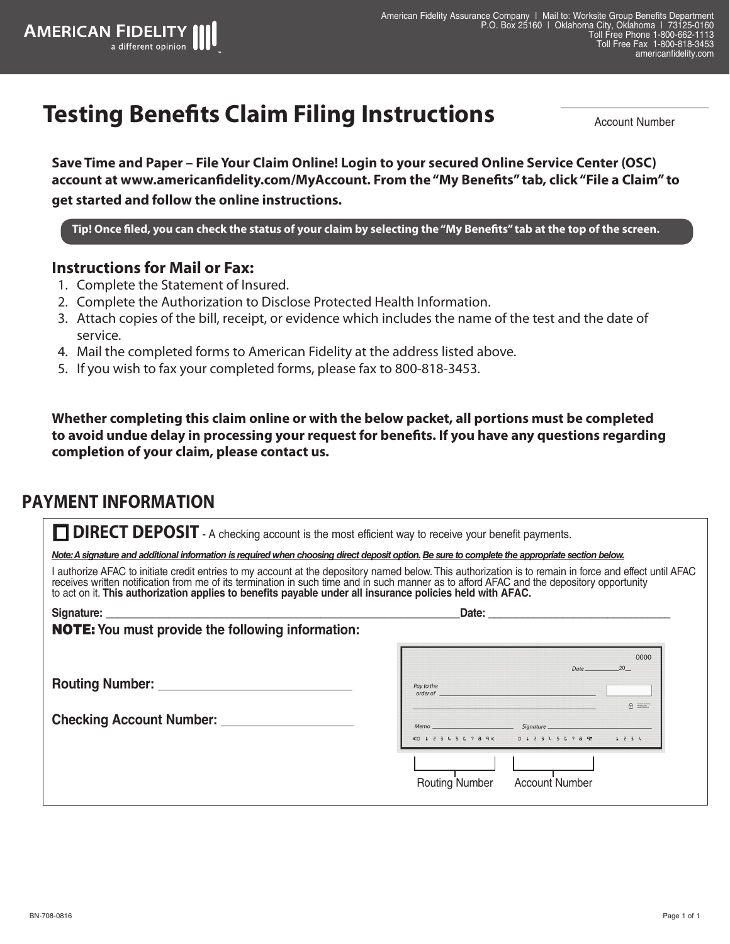## **Testing Benefits Claim Filing Instructions**

Account Number

**Save Time and Paper – File Your Claim Online! Login to your secured Online Service Center (OSC) account at www.americanfidelity.com/MyAccount. From the "My Benefits" tab, click "File a Claim" to get started and follow the online instructions.**

**Tip! Once filed, you can check the status of your claim by selecting the "My Benefits" tab at the top of the screen.**

#### **Instructions for Mail or Fax:**

**AMERICAN FIDELITY** 

a different opinion

- 1. Complete the Statement of Insured.
- 2. Complete the Authorization to Disclose Protected Health Information.
- 3. Attach copies of the bill, receipt, or evidence which includes the name of the test and the date of service.
- 4. Mail the completed forms to American Fidelity at the address listed above.
- 5. If you wish to fax your completed forms, please fax to 800-818-3453.

**Whether completing this claim online or with the below packet, all portions must be completed to avoid undue delay in processing your request for benefits. If you have any questions regarding completion of your claim, please contact us.**

#### **PAYMENT INFORMATION**

| <b>DIRECT DEPOSIT</b> - A checking account is the most efficient way to receive your benefit payments.                                                                                                                                                                                                                                                                                                                                                                 |                                                                                                                                                                                                                                                                                                                                                                                                                                                                                         |  |  |  |  |  |  |  |  |
|------------------------------------------------------------------------------------------------------------------------------------------------------------------------------------------------------------------------------------------------------------------------------------------------------------------------------------------------------------------------------------------------------------------------------------------------------------------------|-----------------------------------------------------------------------------------------------------------------------------------------------------------------------------------------------------------------------------------------------------------------------------------------------------------------------------------------------------------------------------------------------------------------------------------------------------------------------------------------|--|--|--|--|--|--|--|--|
| Note: A signature and additional information is required when choosing direct deposit option. Be sure to complete the appropriate section below.                                                                                                                                                                                                                                                                                                                       |                                                                                                                                                                                                                                                                                                                                                                                                                                                                                         |  |  |  |  |  |  |  |  |
| I authorize AFAC to initiate credit entries to my account at the depository named below. This authorization is to remain in force and effect until AFAC receives written notification from me of its termination in such time<br>to act on it. This authorization applies to benefits payable under all insurance policies held with AFAC.                                                                                                                             |                                                                                                                                                                                                                                                                                                                                                                                                                                                                                         |  |  |  |  |  |  |  |  |
| Signature: <u>with the contract of the contract of the contract of the contract of the contract of the contract of the contract of the contract of the contract of the contract of the contract of the contract of the contract </u><br>Date: the contract of the contract of the contract of the contract of the contract of the contract of the contract of the contract of the contract of the contract of the contract of the contract of the contract of the cont |                                                                                                                                                                                                                                                                                                                                                                                                                                                                                         |  |  |  |  |  |  |  |  |
| <b>NOTE:</b> You must provide the following information:                                                                                                                                                                                                                                                                                                                                                                                                               |                                                                                                                                                                                                                                                                                                                                                                                                                                                                                         |  |  |  |  |  |  |  |  |
| Routing Number: New York Changes and Security Assembly<br><b>Checking Account Number:</b>                                                                                                                                                                                                                                                                                                                                                                              | 0000<br>20<br>Date<br>Pay to the context of the context of the context of the context of the context of the context of the context of the context of the context of the context of the context of the context of the context of the context of the c<br><u> 1989 - Johann Barn, mars ann an t-Alban an t-Alban ann an t-Alban ann an t-Alban ann an t-Alban ann an t-Alba</u><br>A<br>0 1 2 3 4 5 6 7 8 9 0 1 2 3 4 5 6 7 8 9 1 2 3 4<br><b>Routing Number</b><br><b>Account Number</b> |  |  |  |  |  |  |  |  |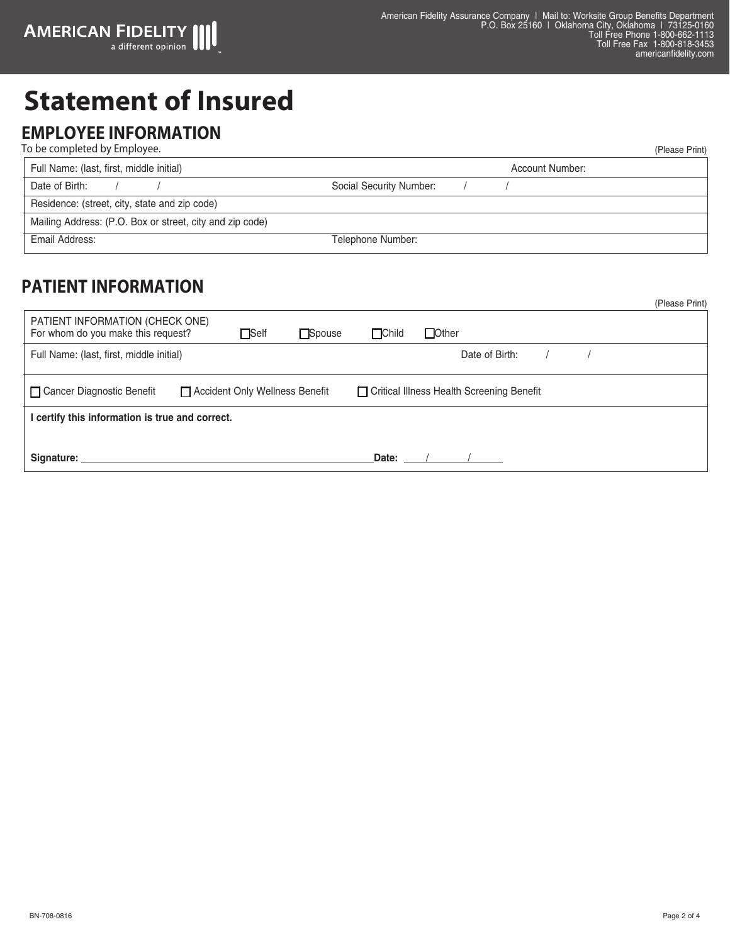# **Statement of Insured**

#### **EMPLOYEE INFORMATION**

| To be completed by Employee.                             | (Please Print)          |
|----------------------------------------------------------|-------------------------|
| Full Name: (last, first, middle initial)                 | Account Number:         |
| Date of Birth:                                           | Social Security Number: |
| Residence: (street, city, state and zip code)            |                         |
| Mailing Address: (P.O. Box or street, city and zip code) |                         |
| Email Address:                                           | Telephone Number:       |

### **PATIENT INFORMATION**

|                                                                       |  |             |                                             |              |                |  |  | (Please Print) |  |
|-----------------------------------------------------------------------|--|-------------|---------------------------------------------|--------------|----------------|--|--|----------------|--|
| PATIENT INFORMATION (CHECK ONE)<br>For whom do you make this request? |  | $\Box$ Self | <b>□</b> Spouse                             | $\Box$ Child | $\Box$ Other   |  |  |                |  |
| Full Name: (last, first, middle initial)                              |  |             |                                             |              | Date of Birth: |  |  |                |  |
| Cancer Diagnostic Benefit<br>□ Accident Only Wellness Benefit         |  |             | □ Critical Illness Health Screening Benefit |              |                |  |  |                |  |
| certify this information is true and correct.                         |  |             |                                             |              |                |  |  |                |  |
|                                                                       |  |             |                                             |              |                |  |  |                |  |
| Signature:                                                            |  |             |                                             | Date:        |                |  |  |                |  |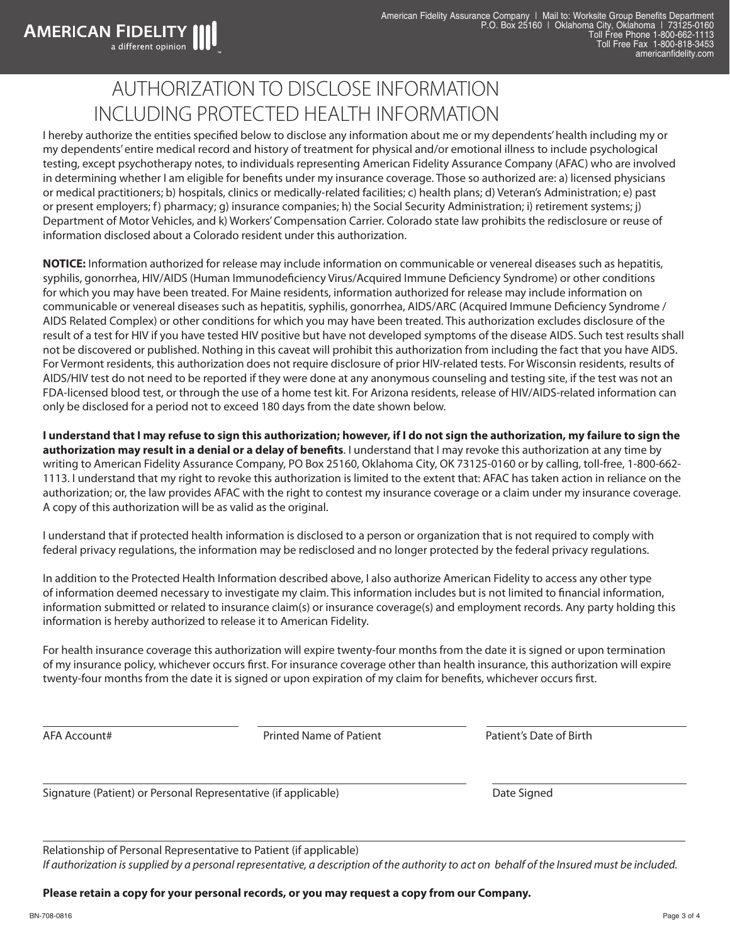## AUTHORIZATION TO DISCLOSE INFORMATION INCLUDING PROTECTED HEALTH INFORMATION

I hereby authorize the entities specified below to disclose any information about me or my dependents' health including my or my dependents' entire medical record and history of treatment for physical and/or emotional illness to include psychological testing, except psychotherapy notes, to individuals representing American Fidelity Assurance Company (AFAC) who are involved in determining whether I am eligible for benefits under my insurance coverage. Those so authorized are: a) licensed physicians or medical practitioners; b) hospitals, clinics or medically-related facilities; c) health plans; d) Veteran's Administration; e) past or present employers; f) pharmacy; g) insurance companies; h) the Social Security Administration; i) retirement systems; j) Department of Motor Vehicles, and k) Workers' Compensation Carrier. Colorado state law prohibits the redisclosure or reuse of information disclosed about a Colorado resident under this authorization.

**NOTICE:** Information authorized for release may include information on communicable or venereal diseases such as hepatitis, syphilis, gonorrhea, HIV/AIDS (Human Immunodeficiency Virus/Acquired Immune Deficiency Syndrome) or other conditions for which you may have been treated. For Maine residents, information authorized for release may include information on communicable or venereal diseases such as hepatitis, syphilis, gonorrhea, AIDS/ARC (Acquired Immune Deficiency Syndrome / AIDS Related Complex) or other conditions for which you may have been treated. This authorization excludes disclosure of the result of a test for HIV if you have tested HIV positive but have not developed symptoms of the disease AIDS. Such test results shall not be discovered or published. Nothing in this caveat will prohibit this authorization from including the fact that you have AIDS. For Vermont residents, this authorization does not require disclosure of prior HIV-related tests. For Wisconsin residents, results of AIDS/HIV test do not need to be reported if they were done at any anonymous counseling and testing site, if the test was not an FDA-licensed blood test, or through the use of a home test kit. For Arizona residents, release of HIV/AIDS-related information can only be disclosed for a period not to exceed 180 days from the date shown below.

**I understand that I may refuse to sign this authorization; however, if I do not sign the authorization, my failure to sign the authorization may result in a denial or a delay of benefits**. I understand that I may revoke this authorization at any time by writing to American Fidelity Assurance Company, PO Box 25160, Oklahoma City, OK 73125-0160 or by calling, toll-free, 1-800-662- 1113. I understand that my right to revoke this authorization is limited to the extent that: AFAC has taken action in reliance on the authorization; or, the law provides AFAC with the right to contest my insurance coverage or a claim under my insurance coverage. A copy of this authorization will be as valid as the original.

I understand that if protected health information is disclosed to a person or organization that is not required to comply with federal privacy regulations, the information may be redisclosed and no longer protected by the federal privacy regulations.

In addition to the Protected Health Information described above, I also authorize American Fidelity to access any other type of information deemed necessary to investigate my claim. This information includes but is not limited to financial information, information submitted or related to insurance claim(s) or insurance coverage(s) and employment records. Any party holding this information is hereby authorized to release it to American Fidelity.

For health insurance coverage this authorization will expire twenty-four months from the date it is signed or upon termination of my insurance policy, whichever occurs first. For insurance coverage other than health insurance, this authorization will expire twenty-four months from the date it is signed or upon expiration of my claim for benefits, whichever occurs first.

**AMERICAN FIDELITY**<br>a different opinion

AFA Account# Printed Name of Patient Patient's Date of Birth

Signature (Patient) or Personal Representative (if applicable) Date Signed Date Signed

Relationship of Personal Representative to Patient (if applicable) *If authorization is supplied by a personal representative, a description of the authority to act on behalf of the Insured must be included.*

**Please retain a copy for your personal records, or you may request a copy from our Company.**